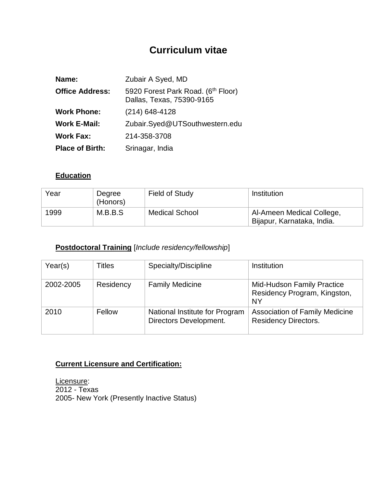# **Curriculum vitae**

| Name:                  | Zubair A Syed, MD                                               |
|------------------------|-----------------------------------------------------------------|
| <b>Office Address:</b> | 5920 Forest Park Road. (6th Floor)<br>Dallas, Texas, 75390-9165 |
| <b>Work Phone:</b>     | $(214)$ 648-4128                                                |
| <b>Work E-Mail:</b>    | Zubair.Syed@UTSouthwestern.edu                                  |
| <b>Work Fax:</b>       | 214-358-3708                                                    |
| <b>Place of Birth:</b> | Srinagar, India                                                 |

#### **Education**

| Year | Degree<br>(Honors) | Field of Study        | <b>Institution</b>                                      |
|------|--------------------|-----------------------|---------------------------------------------------------|
| 1999 | M.B.B.S            | <b>Medical School</b> | Al-Ameen Medical College,<br>Bijapur, Karnataka, India. |

# **Postdoctoral Training** [*Include residency/fellowship*]

| Year(s)   | Titles    | Specialty/Discipline                                     | Institution                                                                    |
|-----------|-----------|----------------------------------------------------------|--------------------------------------------------------------------------------|
| 2002-2005 | Residency | <b>Family Medicine</b>                                   | <b>Mid-Hudson Family Practice</b><br>Residency Program, Kingston,<br><b>NY</b> |
| 2010      | Fellow    | National Institute for Program<br>Directors Development. | <b>Association of Family Medicine</b><br><b>Residency Directors.</b>           |

# **Current Licensure and Certification:**

Licensure: 2012 - Texas 2005- New York (Presently Inactive Status)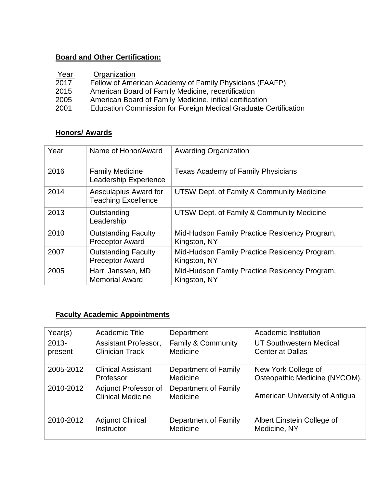## **Board and Other Certification:**

| Year | Organization                                                    |
|------|-----------------------------------------------------------------|
| 2017 | Fellow of American Academy of Family Physicians (FAAFP)         |
| 2015 | American Board of Family Medicine, recertification              |
| 2005 | American Board of Family Medicine, initial certification        |
| 2001 | Education Commission for Foreign Medical Graduate Certification |

#### **Honors/ Awards**

| Year | Name of Honor/Award                                  | <b>Awarding Organization</b>                                  |
|------|------------------------------------------------------|---------------------------------------------------------------|
| 2016 | <b>Family Medicine</b><br>Leadership Experience      | <b>Texas Academy of Family Physicians</b>                     |
| 2014 | Aesculapius Award for<br><b>Teaching Excellence</b>  | UTSW Dept. of Family & Community Medicine                     |
| 2013 | Outstanding<br>Leadership                            | UTSW Dept. of Family & Community Medicine                     |
| 2010 | <b>Outstanding Faculty</b><br><b>Preceptor Award</b> | Mid-Hudson Family Practice Residency Program,<br>Kingston, NY |
| 2007 | <b>Outstanding Faculty</b><br><b>Preceptor Award</b> | Mid-Hudson Family Practice Residency Program,<br>Kingston, NY |
| 2005 | Harri Janssen, MD<br><b>Memorial Award</b>           | Mid-Hudson Family Practice Residency Program,<br>Kingston, NY |

# **Faculty Academic Appointments**

| Year(s)   | Academic Title                                   | Department                              | Academic Institution           |
|-----------|--------------------------------------------------|-----------------------------------------|--------------------------------|
| $2013 -$  | Assistant Professor,                             | Family & Community                      | UT Southwestern Medical        |
| present   | <b>Clinician Track</b>                           | Medicine                                | <b>Center at Dallas</b>        |
| 2005-2012 | <b>Clinical Assistant</b>                        | Department of Family                    | New York College of            |
|           | Professor                                        | Medicine                                | Osteopathic Medicine (NYCOM).  |
| 2010-2012 | Adjunct Professor of<br><b>Clinical Medicine</b> | <b>Department of Family</b><br>Medicine | American University of Antigua |
| 2010-2012 | <b>Adjunct Clinical</b>                          | Department of Family                    | Albert Einstein College of     |
|           | Instructor                                       | Medicine                                | Medicine, NY                   |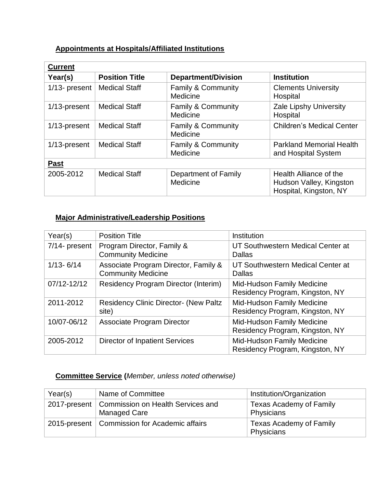## **Appointments at Hospitals/Affiliated Institutions**

| <b>Current</b>   |                       |                                           |                                                                             |
|------------------|-----------------------|-------------------------------------------|-----------------------------------------------------------------------------|
| Year(s)          | <b>Position Title</b> | <b>Department/Division</b>                | <b>Institution</b>                                                          |
| $1/13$ - present | <b>Medical Staff</b>  | <b>Family &amp; Community</b><br>Medicine | <b>Clements University</b><br>Hospital                                      |
| 1/13-present     | <b>Medical Staff</b>  | <b>Family &amp; Community</b><br>Medicine | Zale Lipshy University<br>Hospital                                          |
| 1/13-present     | <b>Medical Staff</b>  | <b>Family &amp; Community</b><br>Medicine | <b>Children's Medical Center</b>                                            |
| 1/13-present     | <b>Medical Staff</b>  | <b>Family &amp; Community</b><br>Medicine | <b>Parkland Memorial Health</b><br>and Hospital System                      |
| <b>Past</b>      |                       |                                           |                                                                             |
| 2005-2012        | <b>Medical Staff</b>  | Department of Family<br>Medicine          | Health Alliance of the<br>Hudson Valley, Kingston<br>Hospital, Kingston, NY |

#### **Major Administrative/Leadership Positions**

| Year(s)       | <b>Position Title</b>                                             | Institution                                                          |
|---------------|-------------------------------------------------------------------|----------------------------------------------------------------------|
| 7/14- present | Program Director, Family &<br><b>Community Medicine</b>           | UT Southwestern Medical Center at<br>Dallas                          |
| $1/13 - 6/14$ | Associate Program Director, Family &<br><b>Community Medicine</b> | UT Southwestern Medical Center at<br><b>Dallas</b>                   |
| 07/12-12/12   | <b>Residency Program Director (Interim)</b>                       | <b>Mid-Hudson Family Medicine</b><br>Residency Program, Kingston, NY |
| 2011-2012     | <b>Residency Clinic Director- (New Paltz)</b><br>site)            | Mid-Hudson Family Medicine<br>Residency Program, Kingston, NY        |
| 10/07-06/12   | Associate Program Director                                        | <b>Mid-Hudson Family Medicine</b><br>Residency Program, Kingston, NY |
| 2005-2012     | <b>Director of Inpatient Services</b>                             | Mid-Hudson Family Medicine<br>Residency Program, Kingston, NY        |

### **Committee Service (***Member, unless noted otherwise)*

| Year(s) | Name of Committee                                                       | Institution/Organization                     |
|---------|-------------------------------------------------------------------------|----------------------------------------------|
|         | 2017-present   Commission on Health Services and<br><b>Managed Care</b> | <b>Texas Academy of Family</b><br>Physicians |
|         | 2015-present   Commission for Academic affairs                          | Texas Academy of Family<br>Physicians        |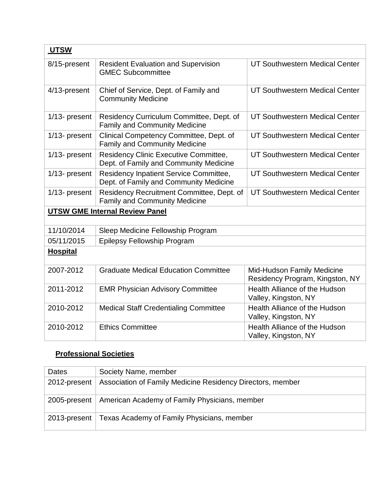| <b>UTSW</b>     |                                                                                         |                                                               |
|-----------------|-----------------------------------------------------------------------------------------|---------------------------------------------------------------|
| 8/15-present    | <b>Resident Evaluation and Supervision</b><br><b>GMEC Subcommittee</b>                  | UT Southwestern Medical Center                                |
| 4/13-present    | Chief of Service, Dept. of Family and<br><b>Community Medicine</b>                      | UT Southwestern Medical Center                                |
| 1/13- present   | Residency Curriculum Committee, Dept. of<br><b>Family and Community Medicine</b>        | UT Southwestern Medical Center                                |
| 1/13- present   | Clinical Competency Committee, Dept. of<br><b>Family and Community Medicine</b>         | UT Southwestern Medical Center                                |
| 1/13- present   | Residency Clinic Executive Committee,<br>Dept. of Family and Community Medicine         | UT Southwestern Medical Center                                |
| 1/13- present   | <b>Residency Inpatient Service Committee,</b><br>Dept. of Family and Community Medicine | UT Southwestern Medical Center                                |
| 1/13- present   | Residency Recruitment Committee, Dept. of<br><b>Family and Community Medicine</b>       | UT Southwestern Medical Center                                |
|                 | <b>UTSW GME Internal Review Panel</b>                                                   |                                                               |
| 11/10/2014      | Sleep Medicine Fellowship Program                                                       |                                                               |
| 05/11/2015      | <b>Epilepsy Fellowship Program</b>                                                      |                                                               |
| <b>Hospital</b> |                                                                                         |                                                               |
| 2007-2012       | <b>Graduate Medical Education Committee</b>                                             | Mid-Hudson Family Medicine<br>Residency Program, Kingston, NY |
| 2011-2012       | <b>EMR Physician Advisory Committee</b>                                                 | Health Alliance of the Hudson<br>Valley, Kingston, NY         |
| 2010-2012       | <b>Medical Staff Credentialing Committee</b>                                            | Health Alliance of the Hudson<br>Valley, Kingston, NY         |
| 2010-2012       | <b>Ethics Committee</b>                                                                 | Health Alliance of the Hudson<br>Valley, Kingston, NY         |

# **Professional Societies**

| Dates           | Society Name, member                                         |
|-----------------|--------------------------------------------------------------|
| 2012-present    | Association of Family Medicine Residency Directors, member   |
|                 | 2005-present   American Academy of Family Physicians, member |
| $2013$ -present | Texas Academy of Family Physicians, member                   |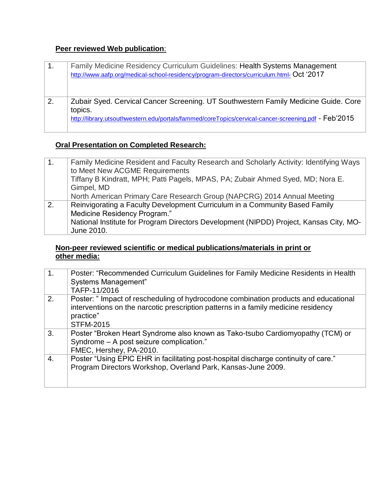### **Peer reviewed Web publication**:

| 1. | Family Medicine Residency Curriculum Guidelines: Health Systems Management<br>http://www.aafp.org/medical-school-residency/program-directors/curriculum.html- Oct '2017                                |
|----|--------------------------------------------------------------------------------------------------------------------------------------------------------------------------------------------------------|
| 2. | Zubair Syed. Cervical Cancer Screening. UT Southwestern Family Medicine Guide. Core<br>topics.<br>http://library.utsouthwestern.edu/portals/fammed/coreTopics/cervical-cancer-screening.pdf - Feb'2015 |

# **Oral Presentation on Completed Research:**

| 1. | Family Medicine Resident and Faculty Research and Scholarly Activity: Identifying Ways<br>to Meet New ACGME Requirements |
|----|--------------------------------------------------------------------------------------------------------------------------|
|    | Tiffany B Kindratt, MPH; Patti Pagels, MPAS, PA; Zubair Ahmed Syed, MD; Nora E.                                          |
|    | Gimpel, MD                                                                                                               |
|    | North American Primary Care Research Group (NAPCRG) 2014 Annual Meeting                                                  |
| 2. | Reinvigorating a Faculty Development Curriculum in a Community Based Family                                              |
|    | Medicine Residency Program."                                                                                             |
|    | National Institute for Program Directors Development (NIPDD) Project, Kansas City, MO-                                   |
|    | June 2010.                                                                                                               |

#### **Non-peer reviewed scientific or medical publications/materials in print or other media:**

| 1. | Poster: "Recommended Curriculum Guidelines for Family Medicine Residents in Health<br>Systems Management"<br>TAFP-11/2016                                                                                   |
|----|-------------------------------------------------------------------------------------------------------------------------------------------------------------------------------------------------------------|
| 2. | Poster: " Impact of rescheduling of hydrocodone combination products and educational<br>interventions on the narcotic prescription patterns in a family medicine residency<br>practice"<br><b>STFM-2015</b> |
| 3. | Poster "Broken Heart Syndrome also known as Tako-tsubo Cardiomyopathy (TCM) or<br>Syndrome - A post seizure complication."<br>FMEC, Hershey, PA-2010.                                                       |
| 4. | Poster "Using EPIC EHR in facilitating post-hospital discharge continuity of care."<br>Program Directors Workshop, Overland Park, Kansas-June 2009.                                                         |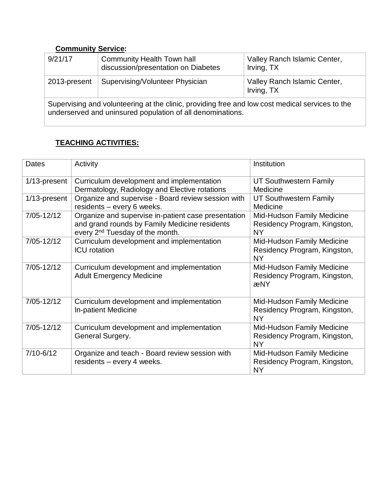### **Community Service:**

| 9/21/17                                                                                                | <b>Community Health Town hall</b><br>discussion/presentation on Diabetes | Valley Ranch Islamic Center,<br>Irving, TX |  |  |
|--------------------------------------------------------------------------------------------------------|--------------------------------------------------------------------------|--------------------------------------------|--|--|
| 2013-present                                                                                           | Supervising/Volunteer Physician                                          | Valley Ranch Islamic Center,<br>Irving, TX |  |  |
| Orman dalam amal yahusta adina at tha lalinia indodukin a fuan lambara hari yang dina banduna tangi ta |                                                                          |                                            |  |  |

Supervising and volunteering at the clinic, providing free and low cost medical services to the underserved and uninsured population of all denominations.

# **TEACHING ACTIVITIES:**

| <b>Dates</b>  | Activity                                                                                                                                            | Institution                                                             |
|---------------|-----------------------------------------------------------------------------------------------------------------------------------------------------|-------------------------------------------------------------------------|
| 1/13-present  | Curriculum development and implementation<br>Dermatology, Radiology and Elective rotations                                                          | <b>UT Southwestern Family</b><br>Medicine                               |
| 1/13-present  | Organize and supervise - Board review session with<br>residents - every 6 weeks.                                                                    | UT Southwestern Family<br>Medicine                                      |
| 7/05-12/12    | Organize and supervise in-patient case presentation<br>and grand rounds by Family Medicine residents<br>every 2 <sup>nd</sup> Tuesday of the month. | Mid-Hudson Family Medicine<br>Residency Program, Kingston,<br><b>NY</b> |
| 7/05-12/12    | Curriculum development and implementation<br><b>ICU</b> rotation                                                                                    | Mid-Hudson Family Medicine<br>Residency Program, Kingston,<br><b>NY</b> |
| 7/05-12/12    | Curriculum development and implementation<br><b>Adult Emergency Medicine</b>                                                                        | Mid-Hudson Family Medicine<br>Residency Program, Kingston,<br>æNY       |
| 7/05-12/12    | Curriculum development and implementation<br>In-patient Medicine                                                                                    | Mid-Hudson Family Medicine<br>Residency Program, Kingston,<br><b>NY</b> |
| 7/05-12/12    | Curriculum development and implementation<br>General Surgery.                                                                                       | Mid-Hudson Family Medicine<br>Residency Program, Kingston,<br><b>NY</b> |
| $7/10 - 6/12$ | Organize and teach - Board review session with<br>residents - every 4 weeks.                                                                        | Mid-Hudson Family Medicine<br>Residency Program, Kingston,<br><b>NY</b> |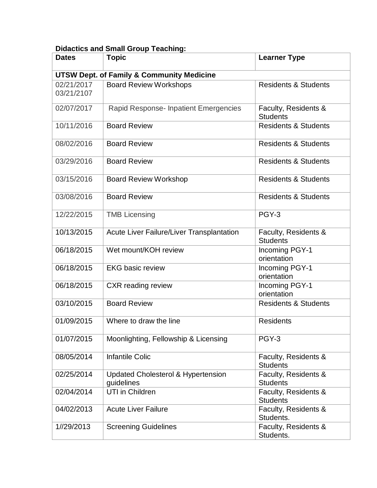# **Didactics and Small Group Teaching:**

| <b>Dates</b>             | <b>Topic</b>                                                | <b>Learner Type</b>                     |
|--------------------------|-------------------------------------------------------------|-----------------------------------------|
|                          | <b>UTSW Dept. of Family &amp; Community Medicine</b>        |                                         |
| 02/21/2017<br>03/21/2107 | <b>Board Review Workshops</b>                               | <b>Residents &amp; Students</b>         |
| 02/07/2017               | Rapid Response- Inpatient Emergencies                       | Faculty, Residents &<br><b>Students</b> |
| 10/11/2016               | <b>Board Review</b>                                         | <b>Residents &amp; Students</b>         |
| 08/02/2016               | <b>Board Review</b>                                         | <b>Residents &amp; Students</b>         |
| 03/29/2016               | <b>Board Review</b>                                         | <b>Residents &amp; Students</b>         |
| 03/15/2016               | <b>Board Review Workshop</b>                                | <b>Residents &amp; Students</b>         |
| 03/08/2016               | <b>Board Review</b>                                         | <b>Residents &amp; Students</b>         |
| 12/22/2015               | <b>TMB Licensing</b>                                        | PGY-3                                   |
| 10/13/2015               | Acute Liver Failure/Liver Transplantation                   | Faculty, Residents &<br><b>Students</b> |
| 06/18/2015               | Wet mount/KOH review                                        | Incoming PGY-1<br>orientation           |
| 06/18/2015               | <b>EKG</b> basic review                                     | Incoming PGY-1<br>orientation           |
| 06/18/2015               | <b>CXR</b> reading review                                   | Incoming PGY-1<br>orientation           |
| 03/10/2015               | <b>Board Review</b>                                         | <b>Residents &amp; Students</b>         |
| 01/09/2015               | Where to draw the line                                      | <b>Residents</b>                        |
| 01/07/2015               | Moonlighting, Fellowship & Licensing                        | PGY-3                                   |
| 08/05/2014               | <b>Infantile Colic</b>                                      | Faculty, Residents &<br><b>Students</b> |
| 02/25/2014               | <b>Updated Cholesterol &amp; Hypertension</b><br>guidelines | Faculty, Residents &<br><b>Students</b> |
| 02/04/2014               | UTI in Children                                             | Faculty, Residents &<br><b>Students</b> |
| 04/02/2013               | <b>Acute Liver Failure</b>                                  | Faculty, Residents &<br>Students.       |
| 1//29/2013               | <b>Screening Guidelines</b>                                 | Faculty, Residents &<br>Students.       |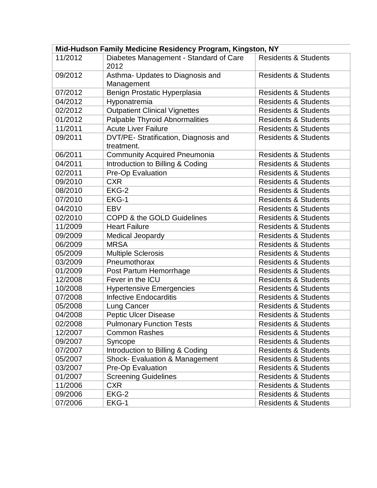| Mid-Hudson Family Medicine Residency Program, Kingston, NY |                                                     |                                 |  |  |
|------------------------------------------------------------|-----------------------------------------------------|---------------------------------|--|--|
| 11/2012                                                    | Diabetes Management - Standard of Care              | <b>Residents &amp; Students</b> |  |  |
|                                                            | 2012                                                |                                 |  |  |
| 09/2012                                                    | Asthma- Updates to Diagnosis and                    | <b>Residents &amp; Students</b> |  |  |
|                                                            | Management                                          |                                 |  |  |
| 07/2012                                                    | Benign Prostatic Hyperplasia                        | <b>Residents &amp; Students</b> |  |  |
| 04/2012                                                    | Hyponatremia                                        | <b>Residents &amp; Students</b> |  |  |
| 02/2012                                                    | <b>Outpatient Clinical Vignettes</b>                | <b>Residents &amp; Students</b> |  |  |
| 01/2012                                                    | Palpable Thyroid Abnormalities                      | <b>Residents &amp; Students</b> |  |  |
| 11/2011                                                    | <b>Acute Liver Failure</b>                          | <b>Residents &amp; Students</b> |  |  |
| 09/2011                                                    | DVT/PE- Stratification, Diagnosis and<br>treatment. | <b>Residents &amp; Students</b> |  |  |
| 06/2011                                                    | <b>Community Acquired Pneumonia</b>                 | <b>Residents &amp; Students</b> |  |  |
| 04/2011                                                    | Introduction to Billing & Coding                    | <b>Residents &amp; Students</b> |  |  |
| 02/2011                                                    | Pre-Op Evaluation                                   | <b>Residents &amp; Students</b> |  |  |
| 09/2010                                                    | <b>CXR</b>                                          | <b>Residents &amp; Students</b> |  |  |
| 08/2010                                                    | EKG-2                                               | <b>Residents &amp; Students</b> |  |  |
| 07/2010                                                    | EKG-1                                               | <b>Residents &amp; Students</b> |  |  |
| 04/2010                                                    | <b>EBV</b>                                          | <b>Residents &amp; Students</b> |  |  |
| 02/2010                                                    | COPD & the GOLD Guidelines                          | <b>Residents &amp; Students</b> |  |  |
| 11/2009                                                    | <b>Heart Failure</b>                                | <b>Residents &amp; Students</b> |  |  |
| 09/2009                                                    | <b>Medical Jeopardy</b>                             | <b>Residents &amp; Students</b> |  |  |
| 06/2009                                                    | <b>MRSA</b>                                         | <b>Residents &amp; Students</b> |  |  |
| 05/2009                                                    | <b>Multiple Sclerosis</b>                           | <b>Residents &amp; Students</b> |  |  |
| 03/2009                                                    | Pneumothorax                                        | <b>Residents &amp; Students</b> |  |  |
| 01/2009                                                    | Post Partum Hemorrhage                              | <b>Residents &amp; Students</b> |  |  |
| 12/2008                                                    | Fever in the ICU                                    | <b>Residents &amp; Students</b> |  |  |
| 10/2008                                                    | <b>Hypertensive Emergencies</b>                     | <b>Residents &amp; Students</b> |  |  |
| 07/2008                                                    | <b>Infective Endocarditis</b>                       | <b>Residents &amp; Students</b> |  |  |
| 05/2008                                                    | Lung Cancer                                         | <b>Residents &amp; Students</b> |  |  |
| 04/2008                                                    | <b>Peptic Ulcer Disease</b>                         | <b>Residents &amp; Students</b> |  |  |
| 02/2008                                                    | <b>Pulmonary Function Tests</b>                     | <b>Residents &amp; Students</b> |  |  |
| 12/2007                                                    | <b>Common Rashes</b>                                | <b>Residents &amp; Students</b> |  |  |
| 09/2007                                                    | Syncope                                             | <b>Residents &amp; Students</b> |  |  |
| 07/2007                                                    | Introduction to Billing & Coding                    | <b>Residents &amp; Students</b> |  |  |
| 05/2007                                                    | <b>Shock- Evaluation &amp; Management</b>           | <b>Residents &amp; Students</b> |  |  |
| 03/2007                                                    | Pre-Op Evaluation                                   | <b>Residents &amp; Students</b> |  |  |
| 01/2007                                                    | <b>Screening Guidelines</b>                         | <b>Residents &amp; Students</b> |  |  |
| 11/2006                                                    | CXR.                                                | <b>Residents &amp; Students</b> |  |  |
| 09/2006                                                    | EKG-2                                               | <b>Residents &amp; Students</b> |  |  |
| 07/2006                                                    | EKG-1                                               | <b>Residents &amp; Students</b> |  |  |